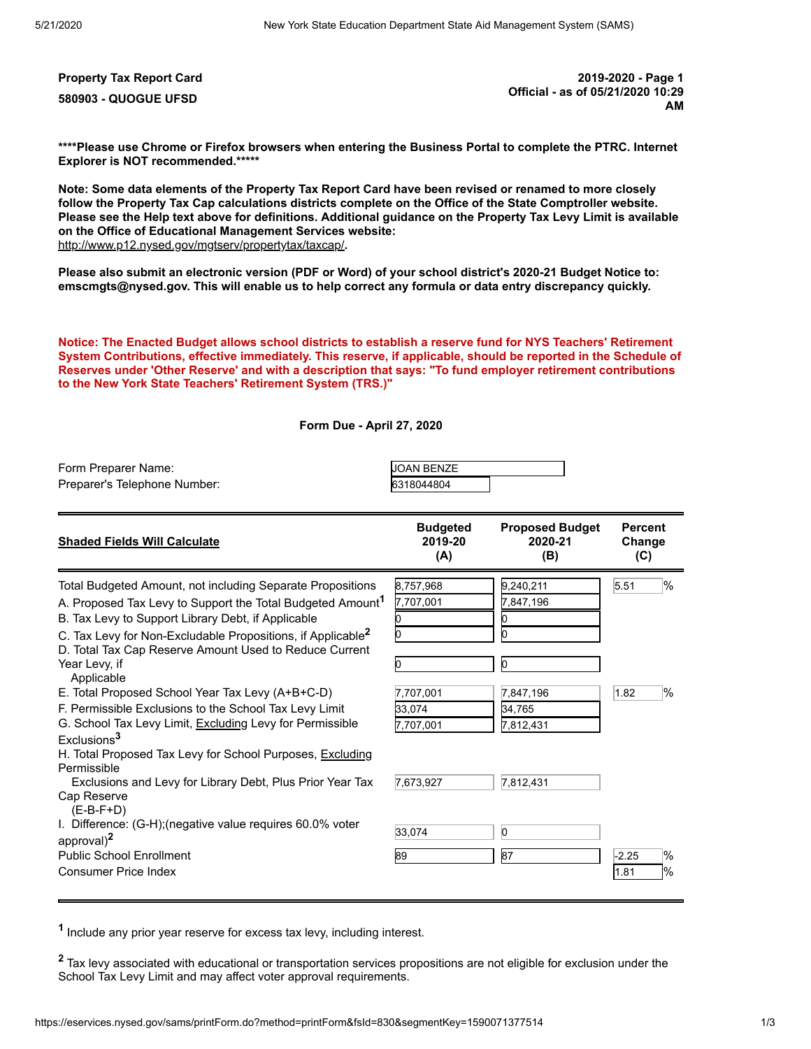**Property Tax Report Card 2019-2020 - Page 1 580903 - QUOGUE UFSD Official - as of 05/21/2020 10:29 AM**

**\*\*\*\*Please use Chrome or Firefox browsers when entering the Business Portal to complete the PTRC. Internet Explorer is NOT recommended.\*\*\*\*\***

**Note: Some data elements of the Property Tax Report Card have been revised or renamed to more closely follow the Property Tax Cap calculations districts complete on the Office of the State Comptroller website. Please see the Help text above for definitions. Additional guidance on the Property Tax Levy Limit is available on the Office of Educational Management Services website:** <http://www.p12.nysed.gov/mgtserv/propertytax/taxcap/>**.**

**Please also submit an electronic version (PDF or Word) of your school district's 2020-21 Budget Notice to: emscmgts@nysed.gov. This will enable us to help correct any formula or data entry discrepancy quickly.**

**Notice: The Enacted Budget allows school districts to establish a reserve fund for NYS Teachers' Retirement System Contributions, effective immediately. This reserve, if applicable, should be reported in the Schedule of Reserves under 'Other Reserve' and with a description that says: "To fund employer retirement contributions to the New York State Teachers' Retirement System (TRS.)"**

**Form Due - April 27, 2020**

| Form Preparer Name:<br>Preparer's Telephone Number:                                                                                                                                                                                                                                                                                                                                                                                                                                                                                                                                                                                                                                                                         | <b>JOAN BENZE</b><br>6318044804                                         |                                                                                          |                                       |
|-----------------------------------------------------------------------------------------------------------------------------------------------------------------------------------------------------------------------------------------------------------------------------------------------------------------------------------------------------------------------------------------------------------------------------------------------------------------------------------------------------------------------------------------------------------------------------------------------------------------------------------------------------------------------------------------------------------------------------|-------------------------------------------------------------------------|------------------------------------------------------------------------------------------|---------------------------------------|
| <b>Shaded Fields Will Calculate</b>                                                                                                                                                                                                                                                                                                                                                                                                                                                                                                                                                                                                                                                                                         | <b>Budgeted</b><br>2019-20<br>(A)                                       | <b>Proposed Budget</b><br>2020-21<br>(B)                                                 | <b>Percent</b><br>Change<br>(C)       |
| Total Budgeted Amount, not including Separate Propositions<br>A. Proposed Tax Levy to Support the Total Budgeted Amount <sup>1</sup><br>B. Tax Levy to Support Library Debt, if Applicable<br>C. Tax Levy for Non-Excludable Propositions, if Applicable <sup>2</sup><br>D. Total Tax Cap Reserve Amount Used to Reduce Current<br>Year Levy, if<br>Applicable<br>E. Total Proposed School Year Tax Levy (A+B+C-D)<br>F. Permissible Exclusions to the School Tax Levy Limit<br>G. School Tax Levy Limit, Excluding Levy for Permissible<br>Exclusions <sup>3</sup><br>H. Total Proposed Tax Levy for School Purposes, Excluding<br>Permissible<br>Exclusions and Levy for Library Debt, Plus Prior Year Tax<br>Cap Reserve | 8,757,968<br>7,707,001<br>7,707,001<br>33.074<br>7,707,001<br>7,673,927 | 9,240,211<br>7,847,196<br>n<br>IO.<br>b<br>7,847,196<br>34,765<br>7,812,431<br>7,812,431 | $\frac{9}{6}$<br>5.51<br>$\%$<br>1.82 |
| $(E-B-F+D)$<br>I. Difference: (G-H); (negative value requires 60.0% voter<br>approval) <sup>2</sup><br><b>Public School Enrollment</b><br><b>Consumer Price Index</b>                                                                                                                                                                                                                                                                                                                                                                                                                                                                                                                                                       | 33,074<br>89                                                            | $\overline{0}$<br>87                                                                     | $\%$<br>$-2.25$<br>1%<br>1.81         |

**1** Include any prior year reserve for excess tax levy, including interest.

**<sup>2</sup>** Tax levy associated with educational or transportation services propositions are not eligible for exclusion under the School Tax Levy Limit and may affect voter approval requirements.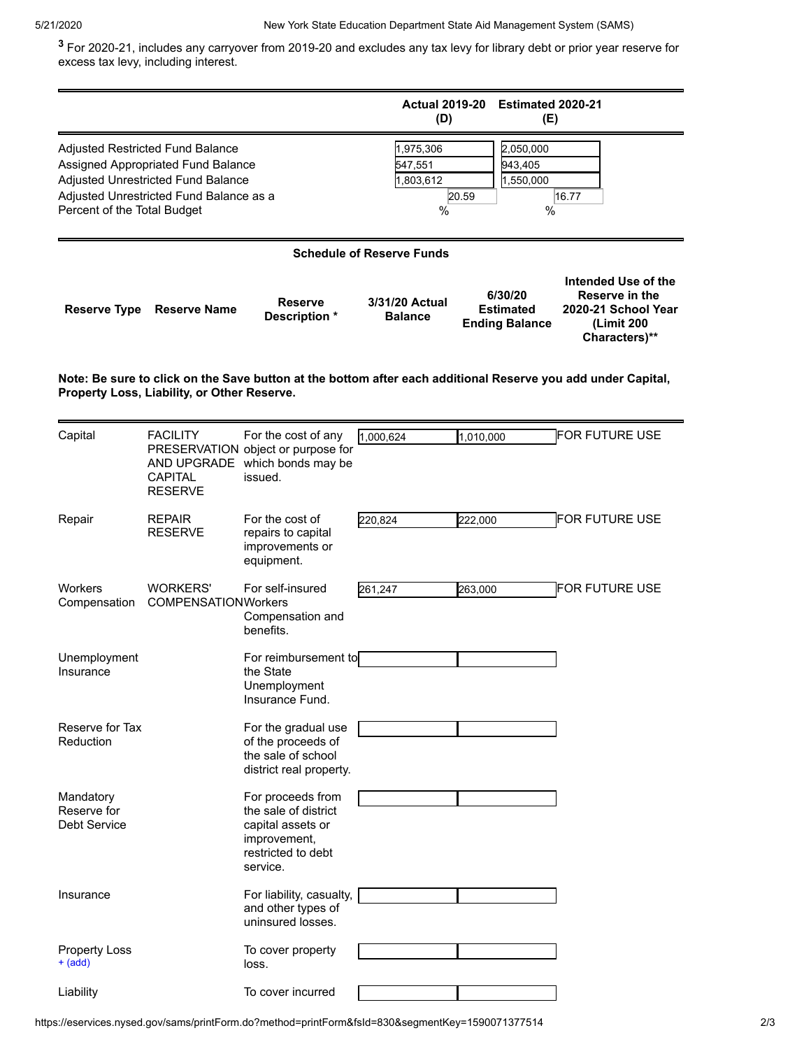**3** For 2020-21, includes any carryover from 2019-20 and excludes any tax levy for library debt or prior year reserve for excess tax levy, including interest.

<span id="page-1-0"></span>

|                                                                                                                                                             |                                                                                                                                                         |                                                                                                                  | <b>Actual 2019-20</b><br>(D)           | Estimated 2020-21<br>(E)                             |                                                                                             |  |  |  |  |
|-------------------------------------------------------------------------------------------------------------------------------------------------------------|---------------------------------------------------------------------------------------------------------------------------------------------------------|------------------------------------------------------------------------------------------------------------------|----------------------------------------|------------------------------------------------------|---------------------------------------------------------------------------------------------|--|--|--|--|
| Percent of the Total Budget                                                                                                                                 | Adjusted Restricted Fund Balance<br>Assigned Appropriated Fund Balance<br>Adjusted Unrestricted Fund Balance<br>Adjusted Unrestricted Fund Balance as a |                                                                                                                  | 1,975,306<br>547,551<br>1,803,612<br>% | 2,050,000<br>943,405<br>1,550,000<br>20.59<br>%      | 16.77                                                                                       |  |  |  |  |
| <b>Schedule of Reserve Funds</b>                                                                                                                            |                                                                                                                                                         |                                                                                                                  |                                        |                                                      |                                                                                             |  |  |  |  |
| <b>Reserve Type</b>                                                                                                                                         | <b>Reserve Name</b>                                                                                                                                     | <b>Reserve</b><br>Description *                                                                                  | 3/31/20 Actual<br><b>Balance</b>       | 6/30/20<br><b>Estimated</b><br><b>Ending Balance</b> | Intended Use of the<br>Reserve in the<br>2020-21 School Year<br>(Limit 200<br>Characters)** |  |  |  |  |
| Note: Be sure to click on the Save button at the bottom after each additional Reserve you add under Capital,<br>Property Loss, Liability, or Other Reserve. |                                                                                                                                                         |                                                                                                                  |                                        |                                                      |                                                                                             |  |  |  |  |
| Capital                                                                                                                                                     | <b>FACILITY</b><br>AND UPGRADE<br>CAPITAL<br><b>RESERVE</b>                                                                                             | For the cost of any<br>PRESERVATION object or purpose for<br>which bonds may be<br>issued.                       | 1,000,624                              | 1,010,000                                            | FOR FUTURE USE                                                                              |  |  |  |  |
| Repair                                                                                                                                                      | <b>REPAIR</b><br><b>RESERVE</b>                                                                                                                         | For the cost of<br>repairs to capital<br>improvements or<br>equipment.                                           | 220,824                                | 222,000                                              | <b>FOR FUTURE USE</b>                                                                       |  |  |  |  |
| <b>Workers</b><br>Compensation                                                                                                                              | <b>WORKERS'</b><br><b>COMPENSATIONWorkers</b>                                                                                                           | For self-insured<br>Compensation and<br>benefits.                                                                | 261,247                                | 263,000                                              | <b>FOR FUTURE USE</b>                                                                       |  |  |  |  |
| Unemployment<br>Insurance                                                                                                                                   |                                                                                                                                                         | For reimbursement to<br>the State<br>Unemployment<br>Insurance Fund.                                             |                                        |                                                      |                                                                                             |  |  |  |  |
| Reserve for Tax<br>Reduction                                                                                                                                |                                                                                                                                                         | For the gradual use<br>of the proceeds of<br>the sale of school<br>district real property.                       |                                        |                                                      |                                                                                             |  |  |  |  |
| Mandatory<br>Reserve for<br><b>Debt Service</b>                                                                                                             |                                                                                                                                                         | For proceeds from<br>the sale of district<br>capital assets or<br>improvement,<br>restricted to debt<br>service. |                                        |                                                      |                                                                                             |  |  |  |  |
| Insurance                                                                                                                                                   |                                                                                                                                                         | For liability, casualty,<br>and other types of<br>uninsured losses.                                              |                                        |                                                      |                                                                                             |  |  |  |  |
| <b>Property Loss</b><br>+ (add)                                                                                                                             |                                                                                                                                                         | To cover property<br>loss.                                                                                       |                                        |                                                      |                                                                                             |  |  |  |  |
| Liability                                                                                                                                                   |                                                                                                                                                         | To cover incurred                                                                                                |                                        |                                                      |                                                                                             |  |  |  |  |